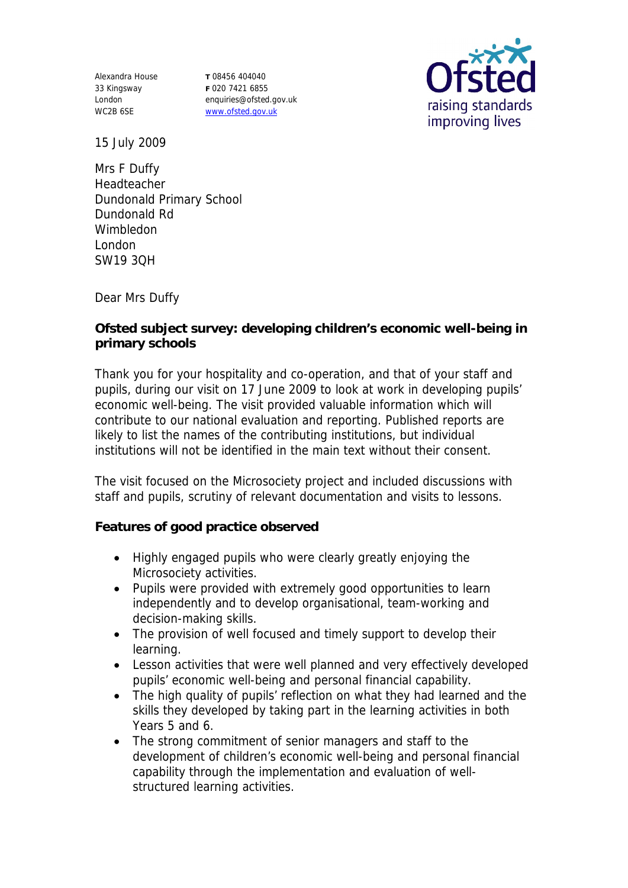Alexandra House 33 Kingsway London WC2B 6SE

**T** 08456 404040 **F** 020 7421 6855 enquiries@ofsted.gov.uk www.ofsted.gov.uk



15 July 2009

Mrs F Duffy Headteacher Dundonald Primary School Dundonald Rd Wimbledon London SW19 3QH

Dear Mrs Duffy

**Ofsted subject survey: developing children's economic well-being in primary schools** 

Thank you for your hospitality and co-operation, and that of your staff and pupils, during our visit on 17 June 2009 to look at work in developing pupils' economic well-being. The visit provided valuable information which will contribute to our national evaluation and reporting. Published reports are likely to list the names of the contributing institutions, but individual institutions will not be identified in the main text without their consent.

The visit focused on the Microsociety project and included discussions with staff and pupils, scrutiny of relevant documentation and visits to lessons.

**Features of good practice observed**

- Highly engaged pupils who were clearly greatly enjoying the Microsociety activities.
- Pupils were provided with extremely good opportunities to learn independently and to develop organisational, team-working and decision-making skills.
- The provision of well focused and timely support to develop their learning.
- Lesson activities that were well planned and very effectively developed pupils' economic well-being and personal financial capability.
- The high quality of pupils' reflection on what they had learned and the skills they developed by taking part in the learning activities in both Years 5 and 6.
- The strong commitment of senior managers and staff to the development of children's economic well-being and personal financial capability through the implementation and evaluation of wellstructured learning activities.